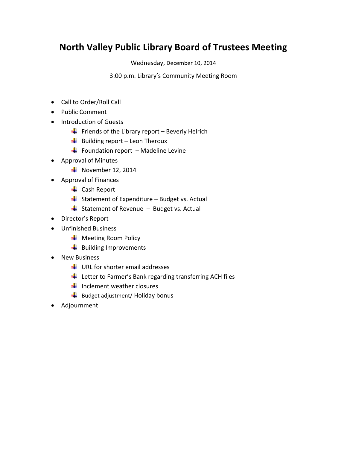# **North Valley Public Library Board of Trustees Meeting**

Wednesday, December 10, 2014

3:00 p.m. Library's Community Meeting Room

- Call to Order/Roll Call
- Public Comment
- Introduction of Guests
	- Friends of the Library report Beverly Helrich
	- $\bigcup$  Building report Leon Theroux
	- $\bigarrow$  Foundation report Madeline Levine
- Approval of Minutes
	- $\textcolor{red}{\bullet}$  November 12, 2014
- Approval of Finances
	- $\leftarrow$  Cash Report
	- $\frac{1}{2}$  Statement of Expenditure Budget vs. Actual
	- $\overline{\phantom{a}}$  Statement of Revenue Budget vs. Actual
- Director's Report
- Unfinished Business
	- **↓** Meeting Room Policy
	- $\frac{1}{2}$  Building Improvements
- New Business
	- $\bigstar$  URL for shorter email addresses
	- $\ddot{\phantom{1}}$  Letter to Farmer's Bank regarding transferring ACH files
	- $\frac{1}{\sqrt{2}}$  Inclement weather closures
	- $\bigstar$  Budget adjustment/ Holiday bonus
- Adjournment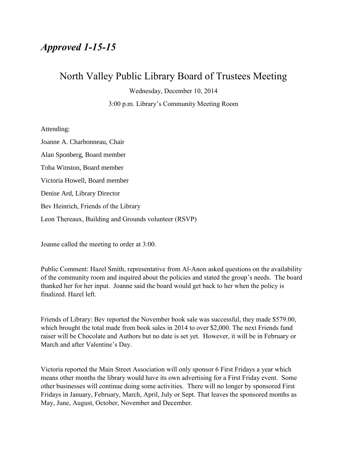## *Approved 1-15-15*

### North Valley Public Library Board of Trustees Meeting

Wednesday, December 10, 2014

3:00 p.m. Library's Community Meeting Room

Attending:

Joanne A. Charbonneau, Chair Alan Sponberg, Board member Toba Winston, Board member Victoria Howell, Board member Denise Ard, Library Director Bev Heinrich, Friends of the Library Leon Thereaux, Building and Grounds volunteer (RSVP)

Joanne called the meeting to order at 3:00.

Public Comment: Hazel Smith, representative from Al-Anon asked questions on the availability of the community room and inquired about the policies and stated the group's needs. The board thanked her for her input. Joanne said the board would get back to her when the policy is finalized. Hazel left.

Friends of Library: Bev reported the November book sale was successful, they made \$579.00, which brought the total made from book sales in 2014 to over \$2,000. The next Friends fund raiser will be Chocolate and Authors but no date is set yet. However, it will be in February or March and after Valentine's Day.

Victoria reported the Main Street Association will only sponsor 6 First Fridays a year which means other months the library would have its own advertising for a First Friday event. Some other businesses will continue doing some activities. There will no longer by sponsored First Fridays in January, February, March, April, July or Sept. That leaves the sponsored months as May, June, August, October, November and December.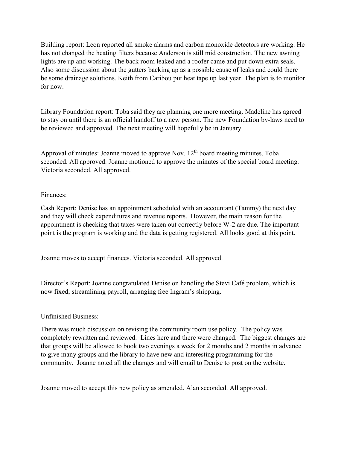Building report: Leon reported all smoke alarms and carbon monoxide detectors are working. He has not changed the heating filters because Anderson is still mid construction. The new awning lights are up and working. The back room leaked and a roofer came and put down extra seals. Also some discussion about the gutters backing up as a possible cause of leaks and could there be some drainage solutions. Keith from Caribou put heat tape up last year. The plan is to monitor for now.

Library Foundation report: Toba said they are planning one more meeting. Madeline has agreed to stay on until there is an official handoff to a new person. The new Foundation by-laws need to be reviewed and approved. The next meeting will hopefully be in January.

Approval of minutes: Joanne moved to approve Nov.  $12<sup>th</sup>$  board meeting minutes, Toba seconded. All approved. Joanne motioned to approve the minutes of the special board meeting. Victoria seconded. All approved.

### Finances:

Cash Report: Denise has an appointment scheduled with an accountant (Tammy) the next day and they will check expenditures and revenue reports. However, the main reason for the appointment is checking that taxes were taken out correctly before W-2 are due. The important point is the program is working and the data is getting registered. All looks good at this point.

Joanne moves to accept finances. Victoria seconded. All approved.

Director's Report: Joanne congratulated Denise on handling the Stevi Café problem, which is now fixed; streamlining payroll, arranging free Ingram's shipping.

### Unfinished Business:

There was much discussion on revising the community room use policy. The policy was completely rewritten and reviewed. Lines here and there were changed. The biggest changes are that groups will be allowed to book two evenings a week for 2 months and 2 months in advance to give many groups and the library to have new and interesting programming for the community. Joanne noted all the changes and will email to Denise to post on the website.

Joanne moved to accept this new policy as amended. Alan seconded. All approved.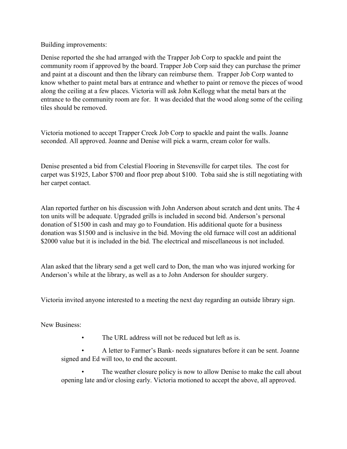Building improvements:

Denise reported the she had arranged with the Trapper Job Corp to spackle and paint the community room if approved by the board. Trapper Job Corp said they can purchase the primer and paint at a discount and then the library can reimburse them. Trapper Job Corp wanted to know whether to paint metal bars at entrance and whether to paint or remove the pieces of wood along the ceiling at a few places. Victoria will ask John Kellogg what the metal bars at the entrance to the community room are for. It was decided that the wood along some of the ceiling tiles should be removed.

Victoria motioned to accept Trapper Creek Job Corp to spackle and paint the walls. Joanne seconded. All approved. Joanne and Denise will pick a warm, cream color for walls.

Denise presented a bid from Celestial Flooring in Stevensville for carpet tiles. The cost for carpet was \$1925, Labor \$700 and floor prep about \$100. Toba said she is still negotiating with her carpet contact.

Alan reported further on his discussion with John Anderson about scratch and dent units. The 4 ton units will be adequate. Upgraded grills is included in second bid. Anderson's personal donation of \$1500 in cash and may go to Foundation. His additional quote for a business donation was \$1500 and is inclusive in the bid. Moving the old furnace will cost an additional \$2000 value but it is included in the bid. The electrical and miscellaneous is not included.

Alan asked that the library send a get well card to Don, the man who was injured working for Anderson's while at the library, as well as a to John Anderson for shoulder surgery.

Victoria invited anyone interested to a meeting the next day regarding an outside library sign.

New Business:

The URL address will not be reduced but left as is.

• A letter to Farmer's Bank- needs signatures before it can be sent. Joanne signed and Ed will too, to end the account.

The weather closure policy is now to allow Denise to make the call about opening late and/or closing early. Victoria motioned to accept the above, all approved.